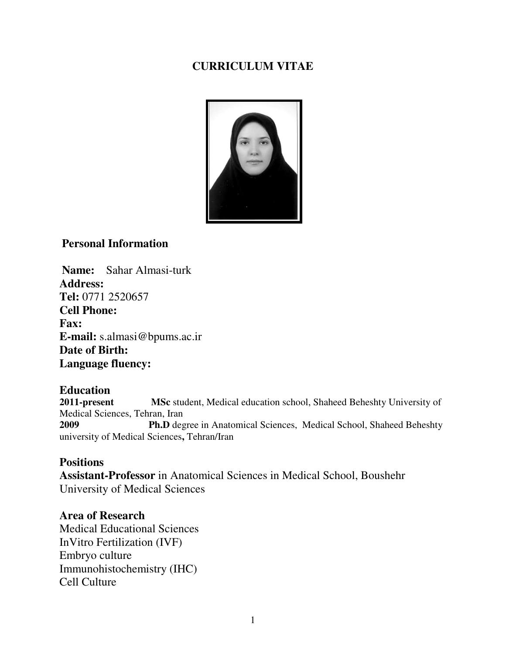# **CURRICULUM VITAE**



## **Personal Information**

**Name:** Sahar Almasi-turk **Address: Tel:** 0771 2520657 **Cell Phone: Fax: E-mail:** s.almasi@bpums.ac.ir **Date of Birth: Language fluency:** 

## **Education**

**2011-present MSc** student, Medical education school, Shaheed Beheshty University of Medical Sciences, Tehran, Iran **2009 Ph.D** degree in Anatomical Sciences,Medical School, Shaheed Beheshty university of Medical Sciences**,** Tehran/Iran

#### **Positions**

**Assistant-Professor** in Anatomical Sciences in Medical School, Boushehr University of Medical Sciences

## **Area of Research**

Medical Educational Sciences InVitro Fertilization (IVF) Embryo culture Immunohistochemistry (IHC) Cell Culture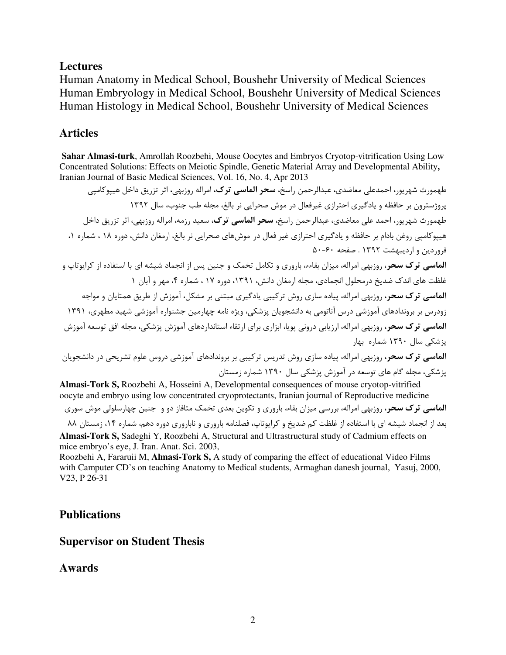## **Lectures**

Human Anatomy in Medical School, Boushehr University of Medical Sciences Human Embryology in Medical School, Boushehr University of Medical Sciences Human Histology in Medical School, Boushehr University of Medical Sciences

# **Articles**

**Sahar Almasi-turk**, Amrollah Roozbehi, Mouse Oocytes and Embryos Cryotop-vitrification Using Low Concentrated Solutions: Effects on Meiotic Spindle, Genetic Material Array and Developmental Ability**,**  Iranian Journal of Basic Medical Sciences, Vol. 16, No. 4, Apr 2013

طهمورث شهريور، احمدعلي معاضدي، عبدالرحمن راسخ، **سحر الماسي ترک،** امراله روزبهي، اثر تزريق داخل هييوكاميي پروژسترون بر حافظه و يادگيري احترازي غيرفعال در موش صحرايي نر بالغ، مجله طب جنوب، سال 1392 طهمورث شهريور، احمد علي معاضدي، عبدالرحمن راسخ، **سحر الماسي ترك،** سعيد رزمه، امراله روزبهي، اثر تزريق داخل هيپوكامپي روغن بادام بر حافظه و يادگيري احترازي غير فعال در موشهاي صحرايي نر بالغ، ارمغان دانش، دوره 18 ، شماره 1، فروردين و ارديبهشت 1392 . صفحه 60- 50 الماسي ترك سحر، روزبهي امراله، ميزان بقاءء، باروري و تكامل تخمك و جنين پس از انجماد شيشه اي با استفاده از كرايوتاپ و غلظت هاي اندك ضديخ درمحلول انجمادي، مجله ارمغان دانش ، ،1391 دوره 17 ، شماره ،4 مهر و آبان 1 الماسي ترك سحر، روزبهي امراله، پياده سازي روش تركيبي يادگيري مبتني بر مشكل، آموزش از طريق همتايان و مواجه زودرس بر بروندادهاي آموزشي درس آناتومي به دانشجويان پزشكي، ويژه نامه چهارمين جشنواره آموزشي شهيد مطهري، 1391 الماسي ترك سحر، روزبهي امراله، ارزيابي دروني پويا، ابزاري براي ارتقاء استانداردهاي آموزش پزشكي، مجله افق توسعه آموزش پزشكي سال 1390 شماره بهار الماسي ترك سحر، روزبهي امراله، پياده سازي روش تدريس تركيبي بر بروندادهاي آموزشي دروس علوم تشريحي در دانشجويان پزشكي، مجله گام هاي توسعه در آموزش پزشكي سال 1390 شماره زمستان

**Almasi-Tork S,** Roozbehi A, Hosseini A, Developmental consequences of mouse cryotop-vitrified oocyte and embryo using low concentrated cryoprotectants, Iranian journal of Reproductive medicine

الماسي ترك سحر، روزبهي امراله، بررسي ميزان بقاء، باروري و تكوين بعدي تخمك متافاز دو و جنين چهارسلولي موش سوري بعد از انجماد شيشه اي با استفاده از غلظت كم ضديخ و كرايوتاپ، فصلنامه باروري و ناباروري دوره دهم، شماره ١۴، زمستان ٨٨ **Almasi-Tork S,** Sadeghi Y, Roozbehi A, Structural and Ultrastructural study of Cadmium effects on mice embryo's eye, J. Iran. Anat. Sci. 2003,

Roozbehi A, Fararuii M, **Almasi-Tork S,** A study of comparing the effect of educational Video Films with Camputer CD's on teaching Anatomy to Medical students, Armaghan danesh journal, Yasuj, 2000, V23, P 26-31

## **Publications**

#### **Supervisor on Student Thesis**

## **Awards**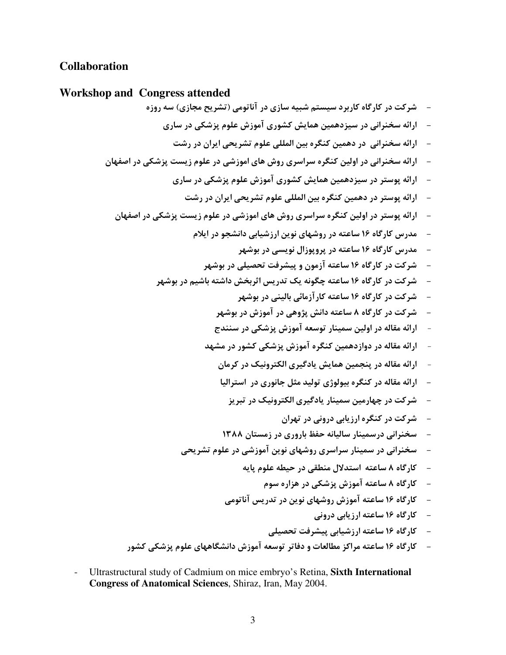# **Collaboration**

### **Workshop and Congress attended**

- شركت در كارگاه كاربرد سيستم شبيه سازي در آناتومي (تشريح مجازي) سه روزه - ارائه سخنراني در سيزدهمين همايش كشوري آموزش علوم پزشكي در ساري - ارائه سخنراني در دهمين كنگره بين المللي علوم تشريحي ايران در رشت - ارائه سخنراني در اولين كنگره سراسري روش هاي اموزشي در علوم زيست پزشكي در اصفهان - ارائه پوستر در سيزدهمين همايش كشوري آموزش علوم پزشكي در ساري - ارائه پوستر در دهمين كنگره بين المللي علوم تشريحي ايران در رشت - ارائه پوستر در اولين كنگره سراسري روش هاي اموزشي در علوم زيست پزشكي در اصفهان - مدرس كارگاه 16 ساعته در روشهاي نوين ارزشيابي دانشجو در ايلام - مدرس كارگاه 16 ساعته در پروپوزال نويسي در بوشهر - شركت در كارگاه 16 ساعته آزمون و پيشرفت تحصيلي در بوشهر - شركت در كارگاه 16 ساعته چگونه يك تدريس اثربخش داشته باشيم در بوشهر - شركت در كارگاه 16 ساعته كارآزمائي باليني در بوشهر - شركت در كارگاه 8 ساعته دانش پژوهي در آموزش در بوشهر - ارائه مقاله در اولين سمينار توسعه آموزش پزشكي در سنندج - ارائه مقاله در دوازدهمين كنگره آموزش پزشكي كشور در مشهد - ارائه مقاله در پنجمين همايش يادگيري الكترونيك در كرمان - ارائه مقاله در كنگره بيولوژي توليد مثل جانوري در استراليا - شركت در چهارمين سمينار يادگيري الكترونيك در تبريز - شركت در كنگره ارزيابي دروني در تهران - سخنراني درسمينار ساليانه حفظ باروري در زمستان 1388 - سخنراني در سمينار سراسري روشهاي نوين آموزشي در علوم تشريحي - كارگاه 8 ساعته استدلال منطقي در حيطه علوم پايه - كارگاه 8 ساعته آموزش پزشكي در هزاره سوم - كارگاه 16 ساعته آموزش روشهاي نوين در تدريس آناتومي - كارگاه 16 ساعته ارزيابي دروني - كارگاه 16 ساعته ارزشيابي پيشرفت تحصيلي - كارگاه 16 ساعته مراكز مطالعات و دفاتر توسعه آموزش دانشگاههاي علوم پزشكي كشور

- Ultrastructural study of Cadmium on mice embryo's Retina, **Sixth International Congress of Anatomical Sciences**, Shiraz, Iran, May 2004.